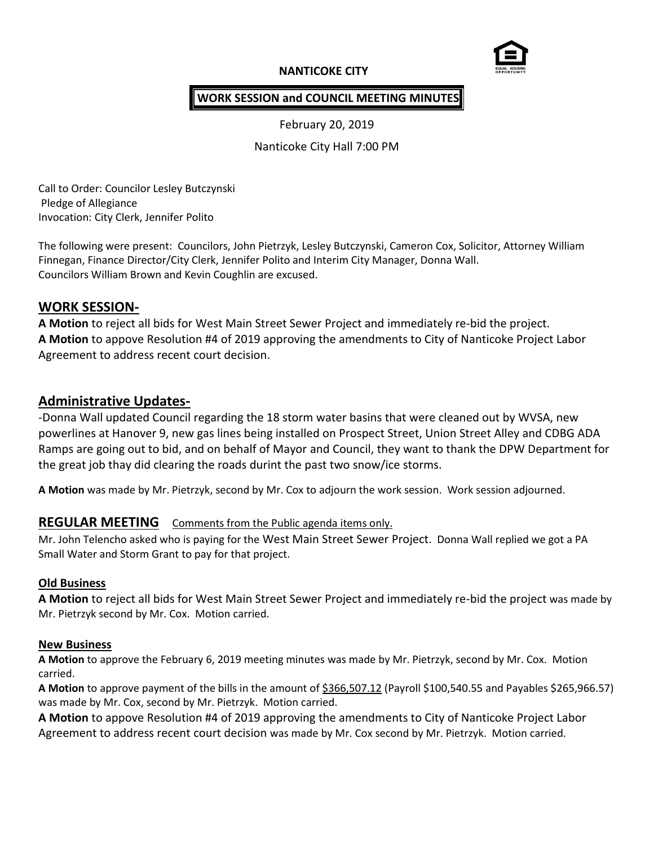## **NANTICOKE CITY**



### **WORK SESSION and COUNCIL MEETING MINUTES**

February 20, 2019

Nanticoke City Hall 7:00 PM

Call to Order: Councilor Lesley Butczynski Pledge of Allegiance Invocation: City Clerk, Jennifer Polito

The following were present: Councilors, John Pietrzyk, Lesley Butczynski, Cameron Cox, Solicitor, Attorney William Finnegan, Finance Director/City Clerk, Jennifer Polito and Interim City Manager, Donna Wall. Councilors William Brown and Kevin Coughlin are excused.

### **WORK SESSION-**

**A Motion** to reject all bids for West Main Street Sewer Project and immediately re-bid the project. **A Motion** to appove Resolution #4 of 2019 approving the amendments to City of Nanticoke Project Labor Agreement to address recent court decision.

# **Administrative Updates-**

-Donna Wall updated Council regarding the 18 storm water basins that were cleaned out by WVSA, new powerlines at Hanover 9, new gas lines being installed on Prospect Street, Union Street Alley and CDBG ADA Ramps are going out to bid, and on behalf of Mayor and Council, they want to thank the DPW Department for the great job thay did clearing the roads durint the past two snow/ice storms.

**A Motion** was made by Mr. Pietrzyk, second by Mr. Cox to adjourn the work session. Work session adjourned.

# **REGULAR MEETING** Comments from the Public agenda items only.

Mr. John Telencho asked who is paying for the West Main Street Sewer Project. Donna Wall replied we got a PA Small Water and Storm Grant to pay for that project.

### **Old Business**

**A Motion** to reject all bids for West Main Street Sewer Project and immediately re-bid the project was made by Mr. Pietrzyk second by Mr. Cox. Motion carried.

#### **New Business**

**A Motion** to approve the February 6, 2019 meeting minutes was made by Mr. Pietrzyk, second by Mr. Cox. Motion carried.

**A Motion** to approve payment of the bills in the amount of \$366,507.12 (Payroll \$100,540.55 and Payables \$265,966.57) was made by Mr. Cox, second by Mr. Pietrzyk. Motion carried.

**A Motion** to appove Resolution #4 of 2019 approving the amendments to City of Nanticoke Project Labor Agreement to address recent court decision was made by Mr. Cox second by Mr. Pietrzyk. Motion carried.